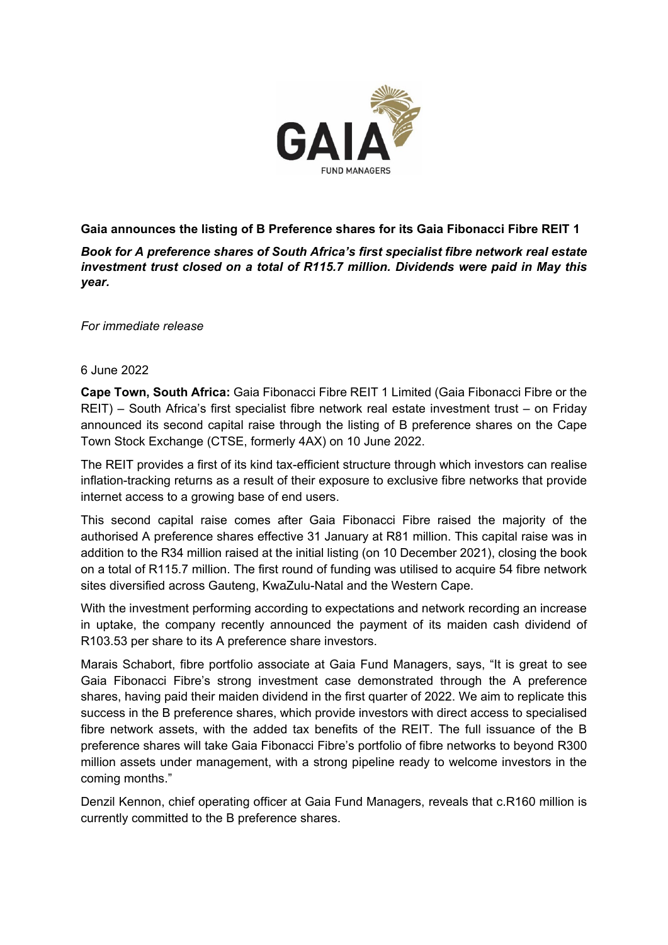

**Gaia announces the listing of B Preference shares for its Gaia Fibonacci Fibre REIT 1**

*Book for A preference shares of South Africa's first specialist fibre network real estate investment trust closed on a total of R115.7 million. Dividends were paid in May this year.* 

*For immediate release*

## 6 June 2022

**Cape Town, South Africa:** Gaia Fibonacci Fibre REIT 1 Limited (Gaia Fibonacci Fibre or the REIT) – South Africa's first specialist fibre network real estate investment trust – on Friday announced its second capital raise through the listing of B preference shares on the Cape Town Stock Exchange (CTSE, formerly 4AX) on 10 June 2022.

The REIT provides a first of its kind tax-efficient structure through which investors can realise inflation-tracking returns as a result of their exposure to exclusive fibre networks that provide internet access to a growing base of end users.

This second capital raise comes after Gaia Fibonacci Fibre raised the majority of the authorised A preference shares effective 31 January at R81 million. This capital raise was in addition to the R34 million raised at the initial listing (on 10 December 2021), closing the book on a total of R115.7 million. The first round of funding was utilised to acquire 54 fibre network sites diversified across Gauteng, KwaZulu-Natal and the Western Cape.

With the investment performing according to expectations and network recording an increase in uptake, the company recently announced the payment of its maiden cash dividend of R103.53 per share to its A preference share investors.

Marais Schabort, fibre portfolio associate at Gaia Fund Managers, says, "It is great to see Gaia Fibonacci Fibre's strong investment case demonstrated through the A preference shares, having paid their maiden dividend in the first quarter of 2022. We aim to replicate this success in the B preference shares, which provide investors with direct access to specialised fibre network assets, with the added tax benefits of the REIT. The full issuance of the B preference shares will take Gaia Fibonacci Fibre's portfolio of fibre networks to beyond R300 million assets under management, with a strong pipeline ready to welcome investors in the coming months."

Denzil Kennon, chief operating officer at Gaia Fund Managers, reveals that c.R160 million is currently committed to the B preference shares.